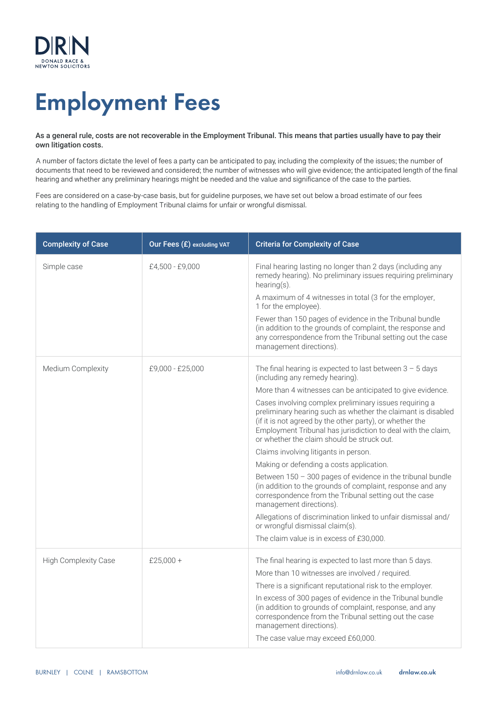

# Employment Fees

#### As a general rule, costs are not recoverable in the Employment Tribunal. This means that parties usually have to pay their own litigation costs.

A number of factors dictate the level of fees a party can be anticipated to pay, including the complexity of the issues; the number of documents that need to be reviewed and considered; the number of witnesses who will give evidence; the anticipated length of the final hearing and whether any preliminary hearings might be needed and the value and significance of the case to the parties.

Fees are considered on a case-by-case basis, but for guideline purposes, we have set out below a broad estimate of our fees relating to the handling of Employment Tribunal claims for unfair or wrongful dismissal.

| <b>Complexity of Case</b> | Our Fees (£) excluding VAT | <b>Criteria for Complexity of Case</b>                                                                                                                                                                                                                                                                                                                                                                                                                                                                                                                                                                                                                                                                                                                                                                                                                                                                                 |
|---------------------------|----------------------------|------------------------------------------------------------------------------------------------------------------------------------------------------------------------------------------------------------------------------------------------------------------------------------------------------------------------------------------------------------------------------------------------------------------------------------------------------------------------------------------------------------------------------------------------------------------------------------------------------------------------------------------------------------------------------------------------------------------------------------------------------------------------------------------------------------------------------------------------------------------------------------------------------------------------|
| Simple case               | £4,500 - £9,000            | Final hearing lasting no longer than 2 days (including any<br>remedy hearing). No preliminary issues requiring preliminary<br>$hearing(s)$ .<br>A maximum of 4 witnesses in total (3 for the employer,<br>1 for the employee).<br>Fewer than 150 pages of evidence in the Tribunal bundle<br>(in addition to the grounds of complaint, the response and<br>any correspondence from the Tribunal setting out the case<br>management directions).                                                                                                                                                                                                                                                                                                                                                                                                                                                                        |
| Medium Complexity         | £9,000 - £25,000           | The final hearing is expected to last between $3 - 5$ days<br>(including any remedy hearing).<br>More than 4 witnesses can be anticipated to give evidence.<br>Cases involving complex preliminary issues requiring a<br>preliminary hearing such as whether the claimant is disabled<br>(if it is not agreed by the other party), or whether the<br>Employment Tribunal has jurisdiction to deal with the claim,<br>or whether the claim should be struck out.<br>Claims involving litigants in person.<br>Making or defending a costs application.<br>Between $150 - 300$ pages of evidence in the tribunal bundle<br>(in addition to the grounds of complaint, response and any<br>correspondence from the Tribunal setting out the case<br>management directions).<br>Allegations of discrimination linked to unfair dismissal and/<br>or wrongful dismissal claim(s).<br>The claim value is in excess of £30,000. |
| High Complexity Case      | £25,000 +                  | The final hearing is expected to last more than 5 days.<br>More than 10 witnesses are involved / required.<br>There is a significant reputational risk to the employer.<br>In excess of 300 pages of evidence in the Tribunal bundle<br>(in addition to grounds of complaint, response, and any<br>correspondence from the Tribunal setting out the case<br>management directions).<br>The case value may exceed £60,000.                                                                                                                                                                                                                                                                                                                                                                                                                                                                                              |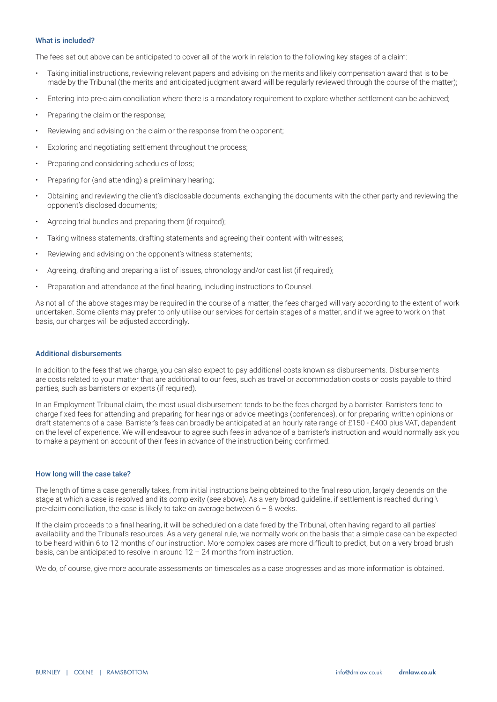#### What is included?

The fees set out above can be anticipated to cover all of the work in relation to the following key stages of a claim:

- Taking initial instructions, reviewing relevant papers and advising on the merits and likely compensation award that is to be made by the Tribunal (the merits and anticipated judgment award will be regularly reviewed through the course of the matter);
- Entering into pre-claim conciliation where there is a mandatory requirement to explore whether settlement can be achieved;
- Preparing the claim or the response;
- Reviewing and advising on the claim or the response from the opponent;
- Exploring and negotiating settlement throughout the process;
- Preparing and considering schedules of loss;
- Preparing for (and attending) a preliminary hearing;
- Obtaining and reviewing the client's disclosable documents, exchanging the documents with the other party and reviewing the opponent's disclosed documents;
- Agreeing trial bundles and preparing them (if required);
- Taking witness statements, drafting statements and agreeing their content with witnesses;
- Reviewing and advising on the opponent's witness statements;
- Agreeing, drafting and preparing a list of issues, chronology and/or cast list (if required);
- Preparation and attendance at the final hearing, including instructions to Counsel.

As not all of the above stages may be required in the course of a matter, the fees charged will vary according to the extent of work undertaken. Some clients may prefer to only utilise our services for certain stages of a matter, and if we agree to work on that basis, our charges will be adjusted accordingly.

#### Additional disbursements

In addition to the fees that we charge, you can also expect to pay additional costs known as disbursements. Disbursements are costs related to your matter that are additional to our fees, such as travel or accommodation costs or costs payable to third parties, such as barristers or experts (if required).

In an Employment Tribunal claim, the most usual disbursement tends to be the fees charged by a barrister. Barristers tend to charge fixed fees for attending and preparing for hearings or advice meetings (conferences), or for preparing written opinions or draft statements of a case. Barrister's fees can broadly be anticipated at an hourly rate range of £150 - £400 plus VAT, dependent on the level of experience. We will endeavour to agree such fees in advance of a barrister's instruction and would normally ask you to make a payment on account of their fees in advance of the instruction being confirmed.

#### How long will the case take?

The length of time a case generally takes, from initial instructions being obtained to the final resolution, largely depends on the stage at which a case is resolved and its complexity (see above). As a very broad guideline, if settlement is reached during \ pre-claim conciliation, the case is likely to take on average between  $6 - 8$  weeks.

If the claim proceeds to a final hearing, it will be scheduled on a date fixed by the Tribunal, often having regard to all parties' availability and the Tribunal's resources. As a very general rule, we normally work on the basis that a simple case can be expected to be heard within 6 to 12 months of our instruction. More complex cases are more difficult to predict, but on a very broad brush basis, can be anticipated to resolve in around 12 – 24 months from instruction.

We do, of course, give more accurate assessments on timescales as a case progresses and as more information is obtained.